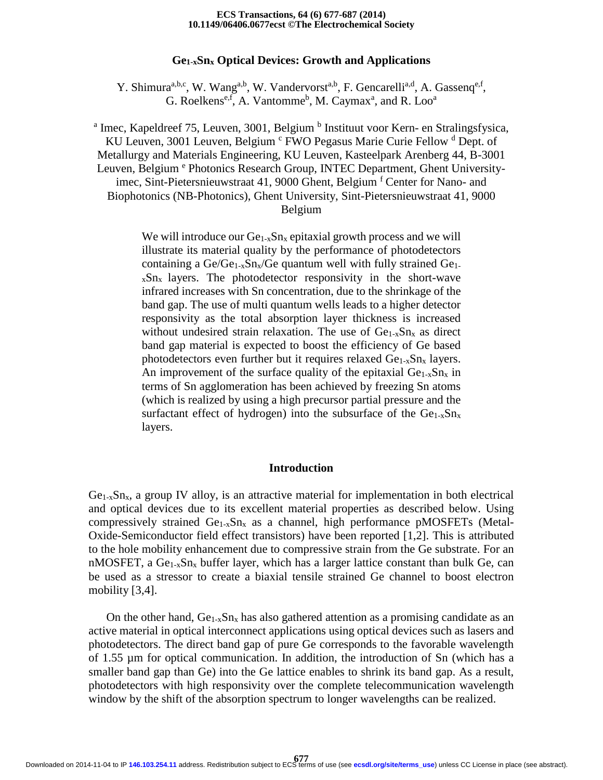#### **10.1149/06406.0677ecst ©The Electrochemical Society ECS Transactions, 64 (6) 677-687 (2014)**

## **Ge1-xSnx Optical Devices: Growth and Applications**

Y. Shimura<sup>a,b,c</sup>, W. Wang<sup>a,b</sup>, W. Vandervorst<sup>a,b</sup>, F. Gencarelli<sup>a,d</sup>, A. Gassenq<sup>e,f</sup>, G. Roelkens<sup>e,f</sup>, A. Vantomme<sup>b</sup>, M. Caymax<sup>a</sup>, and R. Loo<sup>a</sup>

<sup>a</sup> Imec, Kapeldreef 75, Leuven, 3001, Belgium<sup>b</sup> Instituut voor Kern- en Stralingsfysica, KU Leuven, 3001 Leuven, Belgium <sup>c</sup> FWO Pegasus Marie Curie Fellow <sup>d</sup> Dept. of Metallurgy and Materials Engineering, KU Leuven, Kasteelpark Arenberg 44, B-3001 Leuven, Belgium <sup>e</sup> Photonics Research Group, INTEC Department, Ghent Universityimec, Sint-Pietersnieuwstraat 41, 9000 Ghent, Belgium <sup>f</sup> Center for Nano- and Biophotonics (NB-Photonics), Ghent University, Sint-Pietersnieuwstraat 41, 9000 Belgium

> We will introduce our  $Ge_{1-x}Sn_x$  epitaxial growth process and we will illustrate its material quality by the performance of photodetectors containing a  $Ge/Ge_{1-x}Sn_x/Ge$  quantum well with fully strained  $Ge_1$ .  $x\text{Sn}_x$  layers. The photodetector responsivity in the short-wave infrared increases with Sn concentration, due to the shrinkage of the band gap. The use of multi quantum wells leads to a higher detector responsivity as the total absorption layer thickness is increased without undesired strain relaxation. The use of  $Ge_{1-x}Sn_{x}$  as direct band gap material is expected to boost the efficiency of Ge based photodetectors even further but it requires relaxed  $Ge<sub>1-x</sub>Sn<sub>x</sub>$  layers. An improvement of the surface quality of the epitaxial  $Ge_{1-x}Sn_x$  in terms of Sn agglomeration has been achieved by freezing Sn atoms (which is realized by using a high precursor partial pressure and the surfactant effect of hydrogen) into the subsurface of the  $Ge<sub>1-x</sub>Sn<sub>x</sub>$ layers.

## **Introduction**

 $Ge<sub>1-x</sub>Sn<sub>x</sub>$ , a group IV alloy, is an attractive material for implementation in both electrical and optical devices due to its excellent material properties as described below. Using compressively strained  $Ge_{1-x}Sn_x$  as a channel, high performance pMOSFETs (Metal-Oxide-Semiconductor field effect transistors) have been reported [1,2]. This is attributed to the hole mobility enhancement due to compressive strain from the Ge substrate. For an nMOSFET, a  $Ge_{1-x}Sn_x$  buffer layer, which has a larger lattice constant than bulk Ge, can be used as a stressor to create a biaxial tensile strained Ge channel to boost electron mobility [3,4].

On the other hand,  $Ge_{1-x}Sn_x$  has also gathered attention as a promising candidate as an active material in optical interconnect applications using optical devices such as lasers and photodetectors. The direct band gap of pure Ge corresponds to the favorable wavelength of 1.55 µm for optical communication. In addition, the introduction of Sn (which has a smaller band gap than Ge) into the Ge lattice enables to shrink its band gap. As a result, photodetectors with high responsivity over the complete telecommunication wavelength window by the shift of the absorption spectrum to longer wavelengths can be realized.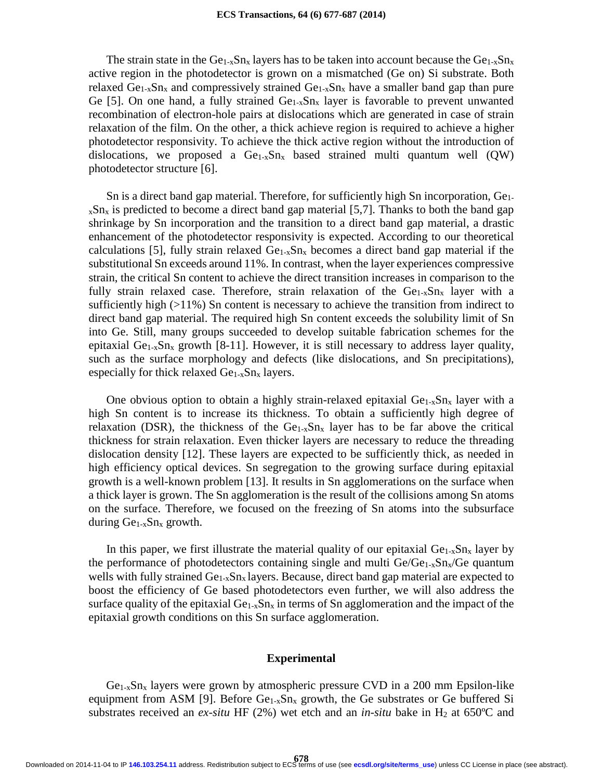The strain state in the  $Ge_{1-x}Sn_x$  layers has to be taken into account because the  $Ge_{1-x}Sn_x$ active region in the photodetector is grown on a mismatched (Ge on) Si substrate. Both relaxed  $Ge_{1-x}Sn_x$  and compressively strained  $Ge_{1-x}Sn_x$  have a smaller band gap than pure Ge [5]. On one hand, a fully strained  $Ge_{1-x}Sn_x$  layer is favorable to prevent unwanted recombination of electron-hole pairs at dislocations which are generated in case of strain relaxation of the film. On the other, a thick achieve region is required to achieve a higher photodetector responsivity. To achieve the thick active region without the introduction of dislocations, we proposed a  $Ge_{1-x}Sn_x$  based strained multi quantum well (QW) photodetector structure [6].

Sn is a direct band gap material. Therefore, for sufficiently high Sn incorporation, Ge1  $x\text{Sn}_x$  is predicted to become a direct band gap material [5,7]. Thanks to both the band gap shrinkage by Sn incorporation and the transition to a direct band gap material, a drastic enhancement of the photodetector responsivity is expected. According to our theoretical calculations [5], fully strain relaxed  $Ge<sub>1-x</sub>Sn<sub>x</sub>$  becomes a direct band gap material if the substitutional Sn exceeds around 11%. In contrast, when the layer experiences compressive strain, the critical Sn content to achieve the direct transition increases in comparison to the fully strain relaxed case. Therefore, strain relaxation of the  $Ge<sub>1-x</sub>Sn<sub>x</sub>$  layer with a sufficiently high (>11%) Sn content is necessary to achieve the transition from indirect to direct band gap material. The required high Sn content exceeds the solubility limit of Sn into Ge. Still, many groups succeeded to develop suitable fabrication schemes for the epitaxial  $Ge_{1-x}Sn_x$  growth [8-11]. However, it is still necessary to address layer quality, such as the surface morphology and defects (like dislocations, and Sn precipitations), especially for thick relaxed  $Ge_{1-x}Sn_x$  layers.

One obvious option to obtain a highly strain-relaxed epitaxial  $Ge_{1-x}Sn_x$  layer with a high Sn content is to increase its thickness. To obtain a sufficiently high degree of relaxation (DSR), the thickness of the  $Ge<sub>1-x</sub>Sn<sub>x</sub>$  layer has to be far above the critical thickness for strain relaxation. Even thicker layers are necessary to reduce the threading dislocation density [12]. These layers are expected to be sufficiently thick, as needed in high efficiency optical devices. Sn segregation to the growing surface during epitaxial growth is a well-known problem [13]. It results in Sn agglomerations on the surface when a thick layer is grown. The Sn agglomeration is the result of the collisions among Sn atoms on the surface. Therefore, we focused on the freezing of Sn atoms into the subsurface during  $Ge_{1-x}Sn_x$  growth.

In this paper, we first illustrate the material quality of our epitaxial  $Ge_{1-x}Sn_x$  layer by the performance of photodetectors containing single and multi  $Ge/Ge_{1-x}Sn_x/Ge$  quantum wells with fully strained  $Ge_{1-x}Sn_x$  layers. Because, direct band gap material are expected to boost the efficiency of Ge based photodetectors even further, we will also address the surface quality of the epitaxial  $Ge_{1-x}Sn_x$  in terms of Sn agglomeration and the impact of the epitaxial growth conditions on this Sn surface agglomeration.

#### **Experimental**

 $Ge_{1-x}Sn_x$  layers were grown by atmospheric pressure CVD in a 200 mm Epsilon-like equipment from ASM [9]. Before  $Ge_{1-x}Sn_x$  growth, the Ge substrates or Ge buffered Si substrates received an  $ex\text{-}situ$  HF (2%) wet etch and an *in-situ* bake in H<sub>2</sub> at 650°C and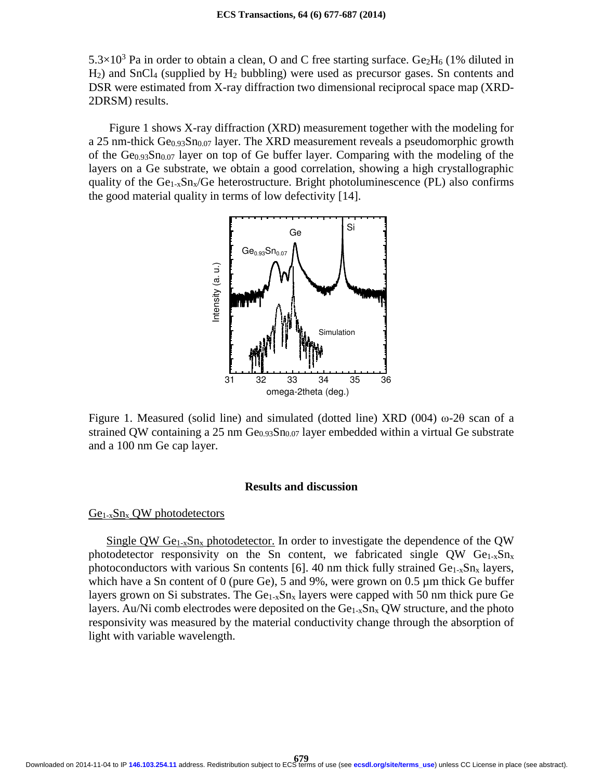$5.3\times10^3$  Pa in order to obtain a clean, O and C free starting surface. Ge<sub>2</sub>H<sub>6</sub> (1% diluted in H2) and SnCl4 (supplied by H2 bubbling) were used as precursor gases. Sn contents and DSR were estimated from X-ray diffraction two dimensional reciprocal space map (XRD-2DRSM) results.

 Figure 1 shows X-ray diffraction (XRD) measurement together with the modeling for a 25 nm-thick  $Ge_{0.93}Sn_{0.07}$  layer. The XRD measurement reveals a pseudomorphic growth of the  $Ge_{0.93}Sn_{0.07}$  layer on top of Ge buffer layer. Comparing with the modeling of the layers on a Ge substrate, we obtain a good correlation, showing a high crystallographic quality of the  $Ge_{1-x}Sn_x/Ge$  heterostructure. Bright photoluminescence (PL) also confirms the good material quality in terms of low defectivity [14].



Figure 1. Measured (solid line) and simulated (dotted line) XRD (004) ω-2θ scan of a strained QW containing a 25 nm  $Ge_{0.93}Sn_{0.07}$  layer embedded within a virtual Ge substrate and a 100 nm Ge cap layer.

# **Results and discussion**

## $Ge<sub>1-x</sub>Sn<sub>x</sub> QW$  photodetectors

Single QW  $Ge_{1-x}Sn_x$  photodetector. In order to investigate the dependence of the QW photodetector responsivity on the Sn content, we fabricated single QW  $Ge_{1-x}Sn_x$ photoconductors with various Sn contents [6]. 40 nm thick fully strained  $Ge<sub>1-x</sub>Sn<sub>x</sub>$  layers, which have a Sn content of 0 (pure Ge), 5 and 9%, were grown on 0.5  $\mu$ m thick Ge buffer layers grown on Si substrates. The  $Ge_{1-x}Sn_x$  layers were capped with 50 nm thick pure Ge layers. Au/Ni comb electrodes were deposited on the  $Ge<sub>1-x</sub>Sn<sub>x</sub> QW$  structure, and the photo responsivity was measured by the material conductivity change through the absorption of light with variable wavelength.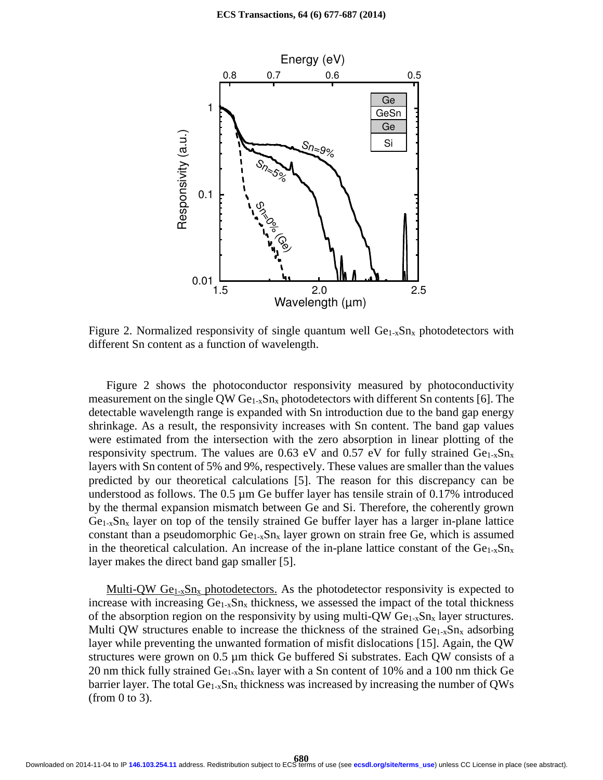

Figure 2. Normalized responsivity of single quantum well  $Ge_{1-x}Sn_x$  photodetectors with different Sn content as a function of wavelength.

Figure 2 shows the photoconductor responsivity measured by photoconductivity measurement on the single QW  $Ge_{1-x}Sn_x$  photodetectors with different Sn contents [6]. The detectable wavelength range is expanded with Sn introduction due to the band gap energy shrinkage. As a result, the responsivity increases with Sn content. The band gap values were estimated from the intersection with the zero absorption in linear plotting of the responsivity spectrum. The values are 0.63 eV and 0.57 eV for fully strained  $Ge_{1-x}Sn_x$ layers with Sn content of 5% and 9%, respectively. These values are smaller than the values predicted by our theoretical calculations [5]. The reason for this discrepancy can be understood as follows. The  $0.5 \mu m$  Ge buffer layer has tensile strain of  $0.17\%$  introduced by the thermal expansion mismatch between Ge and Si. Therefore, the coherently grown  $Ge<sub>1-x</sub>Sn<sub>x</sub>$  layer on top of the tensily strained Ge buffer layer has a larger in-plane lattice constant than a pseudomorphic  $Ge_{1-x}Sn_x$  layer grown on strain free Ge, which is assumed in the theoretical calculation. An increase of the in-plane lattice constant of the  $Ge_{1-x}Sn_x$ layer makes the direct band gap smaller [5].

Multi-QW  $Ge_{1-x}Sn_x$  photodetectors. As the photodetector responsivity is expected to increase with increasing  $Ge_{1-x}Sn_x$  thickness, we assessed the impact of the total thickness of the absorption region on the responsivity by using multi-QW  $Ge_{1-x}Sn_x$  layer structures. Multi QW structures enable to increase the thickness of the strained  $Ge_{1-x}Sn_x$  adsorbing layer while preventing the unwanted formation of misfit dislocations [15]. Again, the QW structures were grown on  $0.5 \mu m$  thick Ge buffered Si substrates. Each QW consists of a 20 nm thick fully strained  $Ge_{1-x}Sn_x$  layer with a Sn content of 10% and a 100 nm thick Ge barrier layer. The total  $Ge_{1-x}Sn_x$  thickness was increased by increasing the number of QWs (from 0 to 3).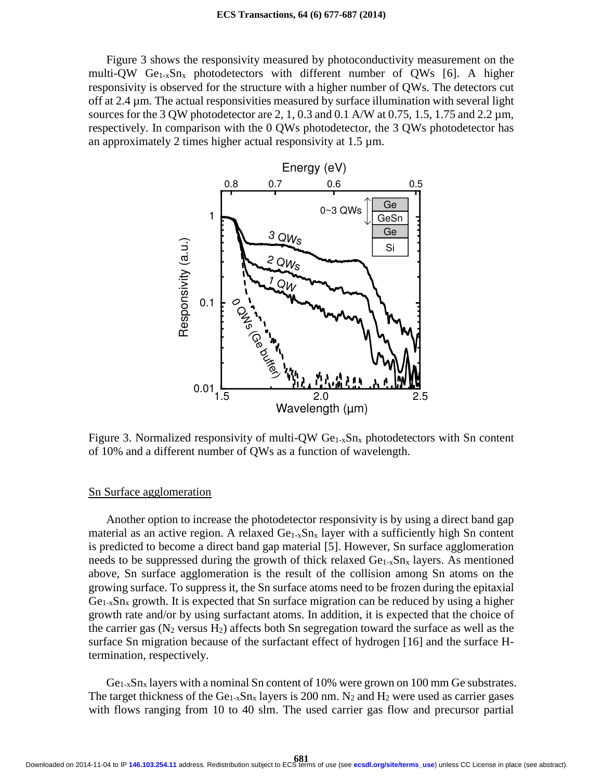Figure 3 shows the responsivity measured by photoconductivity measurement on the multi-QW Ge<sub>1-x</sub>Sn<sub>x</sub> photodetectors with different number of QWs [6]. A higher responsivity is observed for the structure with a higher number of QWs. The detectors cut off at 2.4 µm. The actual responsivities measured by surface illumination with several light sources for the 3 QW photodetector are 2, 1, 0.3 and 0.1 A/W at 0.75, 1.5, 1.75 and 2.2  $\mu$ m, respectively. In comparison with the 0 QWs photodetector, the 3 QWs photodetector has an approximately 2 times higher actual responsivity at 1.5 µm.



Figure 3. Normalized responsivity of multi-QW  $Ge_{1-x}Sn_x$  photodetectors with Sn content of 10% and a different number of QWs as a function of wavelength.

## Sn Surface agglomeration

Another option to increase the photodetector responsivity is by using a direct band gap material as an active region. A relaxed  $Ge<sub>1-x</sub>Sn<sub>x</sub>$  layer with a sufficiently high Sn content is predicted to become a direct band gap material [5]. However, Sn surface agglomeration needs to be suppressed during the growth of thick relaxed  $Ge<sub>1-x</sub>Sn<sub>x</sub>$  layers. As mentioned above, Sn surface agglomeration is the result of the collision among Sn atoms on the growing surface. To suppress it, the Sn surface atoms need to be frozen during the epitaxial  $Ge<sub>1-x</sub>Sn<sub>x</sub>$  growth. It is expected that Sn surface migration can be reduced by using a higher growth rate and/or by using surfactant atoms. In addition, it is expected that the choice of the carrier gas ( $N_2$  versus  $H_2$ ) affects both Sn segregation toward the surface as well as the surface Sn migration because of the surfactant effect of hydrogen [16] and the surface Htermination, respectively.

 $Ge<sub>1-x</sub>Sn<sub>x</sub>$  layers with a nominal Sn content of 10% were grown on 100 mm Ge substrates. The target thickness of the  $Ge_{1-x}Sn_x$  layers is 200 nm. N<sub>2</sub> and H<sub>2</sub> were used as carrier gases with flows ranging from 10 to 40 slm. The used carrier gas flow and precursor partial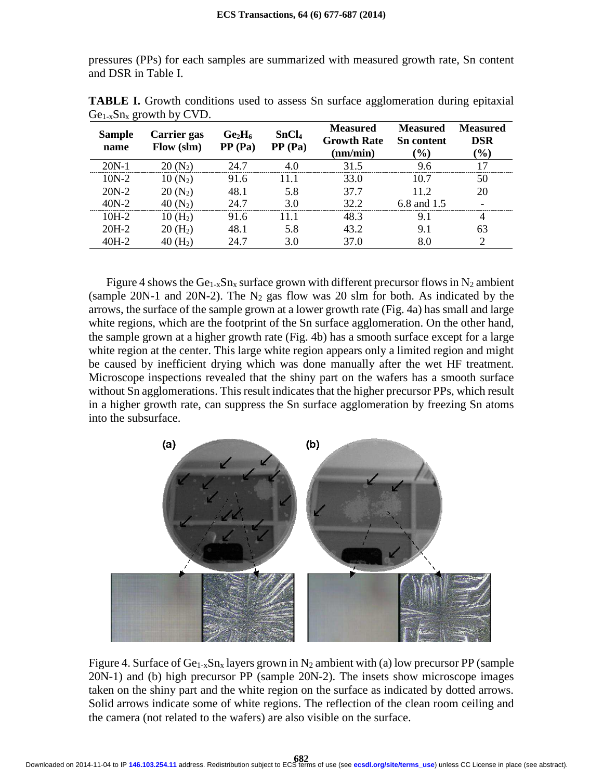pressures (PPs) for each samples are summarized with measured growth rate, Sn content and DSR in Table I.

| ے می<br><b>Sample</b><br>name | Carrier gas<br>Flow (slm) | $Ge_2H_6$<br>PP (Pa) | SnCl <sub>4</sub><br>PP(Pa) | <b>Measured</b><br><b>Growth Rate</b><br>(nm/min) | <b>Measured</b><br><b>Sn</b> content<br>$\mathcal{O}(0)$ | <b>Measured</b><br>DSR<br>$\mathcal{O}(0)$ |
|-------------------------------|---------------------------|----------------------|-----------------------------|---------------------------------------------------|----------------------------------------------------------|--------------------------------------------|
| $20N-1$                       | 20 (N2)                   | 24.7                 |                             | 31.5                                              | 96                                                       | 17                                         |
| $10N-2$                       | $10(N_2)$                 | 91.6                 |                             | 33.0                                              | 10.7                                                     | 50                                         |
| $20N-2$                       | $20(N_2)$                 | 48.1                 | 5.8                         | 37.7                                              | 11.2                                                     | 20                                         |
| $40N-2$                       | 40 (N <sub>2</sub> )      | 24.7                 | 3 በ                         | 32.2                                              | 6.8 and 1.5                                              |                                            |
| $10H-2$                       | $10 \, (\text{H}_2)$      | 91.6                 |                             | 48.3                                              | 9.1                                                      |                                            |
| $20H-2$                       | $20(H_2)$                 | 48.1                 | 5.8                         | 43.2                                              | 9.1                                                      | 63                                         |
| $40H-2$                       | $(H_2)$                   | 24.7                 | 3.0                         | 37.0                                              |                                                          |                                            |

**TABLE I.** Growth conditions used to assess Sn surface agglomeration during epitaxial  $Ge_{1-x}Sn_x$  growth by CVD.

Figure 4 shows the Ge<sub>1-x</sub>Sn<sub>x</sub> surface grown with different precursor flows in N<sub>2</sub> ambient (sample 20N-1 and 20N-2). The  $N_2$  gas flow was 20 slm for both. As indicated by the arrows, the surface of the sample grown at a lower growth rate (Fig. 4a) has small and large white regions, which are the footprint of the Sn surface agglomeration. On the other hand, the sample grown at a higher growth rate (Fig. 4b) has a smooth surface except for a large white region at the center. This large white region appears only a limited region and might be caused by inefficient drying which was done manually after the wet HF treatment. Microscope inspections revealed that the shiny part on the wafers has a smooth surface without Sn agglomerations. This result indicates that the higher precursor PPs, which result in a higher growth rate, can suppress the Sn surface agglomeration by freezing Sn atoms into the subsurface.



Figure 4. Surface of  $Ge_{1-x}Sn_x$  layers grown in N<sub>2</sub> ambient with (a) low precursor PP (sample 20N-1) and (b) high precursor PP (sample 20N-2). The insets show microscope images taken on the shiny part and the white region on the surface as indicated by dotted arrows. Solid arrows indicate some of white regions. The reflection of the clean room ceiling and the camera (not related to the wafers) are also visible on the surface.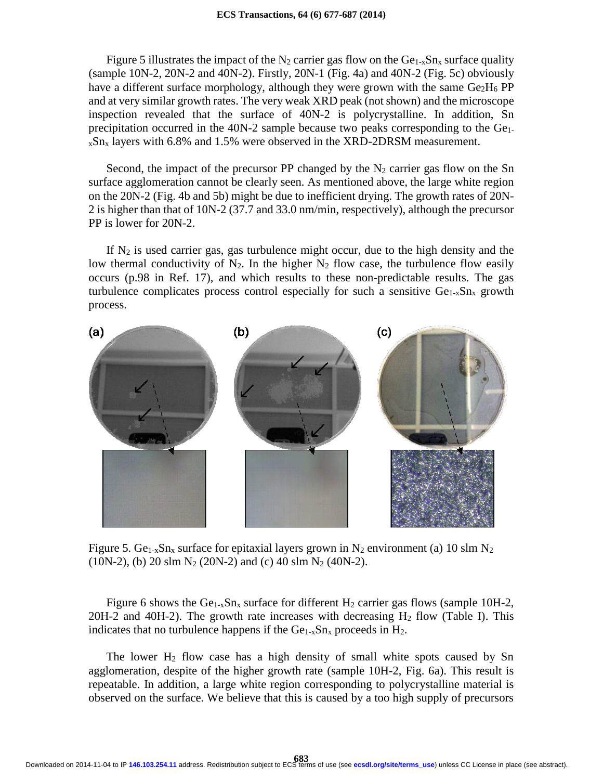Figure 5 illustrates the impact of the N<sub>2</sub> carrier gas flow on the  $Ge<sub>1-x</sub>Sn<sub>x</sub>$  surface quality  $(sample 10N-2, 20N-2 and 40N-2)$ . Firstly, 20N-1 (Fig. 4a) and 40N-2 (Fig. 5c) obviously have a different surface morphology, although they were grown with the same  $Ge_2H_6$  PP and at very similar growth rates. The very weak XRD peak (not shown) and the microscope inspection revealed that the surface of 40N-2 is polycrystalline. In addition, Sn precipitation occurred in the 40N-2 sample because two peaks corresponding to the Ge1  $x\text{Sn}_x$  layers with 6.8% and 1.5% were observed in the XRD-2DRSM measurement.

Second, the impact of the precursor PP changed by the  $N_2$  carrier gas flow on the Sn surface agglomeration cannot be clearly seen. As mentioned above, the large white region on the 20N-2 (Fig. 4b and 5b) might be due to inefficient drying. The growth rates of 20N-2 is higher than that of 10N-2 (37.7 and 33.0 nm/min, respectively), although the precursor PP is lower for 20N-2.

If  $N_2$  is used carrier gas, gas turbulence might occur, due to the high density and the low thermal conductivity of  $N_2$ . In the higher  $N_2$  flow case, the turbulence flow easily occurs (p.98 in Ref. 17), and which results to these non-predictable results. The gas turbulence complicates process control especially for such a sensitive  $Ge<sub>1-x</sub>Sn<sub>x</sub>$  growth process.



Figure 5. Ge<sub>1-x</sub>Sn<sub>x</sub> surface for epitaxial layers grown in N<sub>2</sub> environment (a) 10 slm N<sub>2</sub> (10N-2), (b) 20 slm  $N_2$  (20N-2) and (c) 40 slm  $N_2$  (40N-2).

Figure 6 shows the Ge<sub>1-x</sub>Sn<sub>x</sub> surface for different H<sub>2</sub> carrier gas flows (sample 10H-2,  $20H-2$  and  $40H-2$ ). The growth rate increases with decreasing  $H_2$  flow (Table I). This indicates that no turbulence happens if the  $Ge_{1-x}Sn_x$  proceeds in  $H_2$ .

The lower  $H_2$  flow case has a high density of small white spots caused by Sn agglomeration, despite of the higher growth rate (sample 10H-2, Fig. 6a). This result is repeatable. In addition, a large white region corresponding to polycrystalline material is observed on the surface. We believe that this is caused by a too high supply of precursors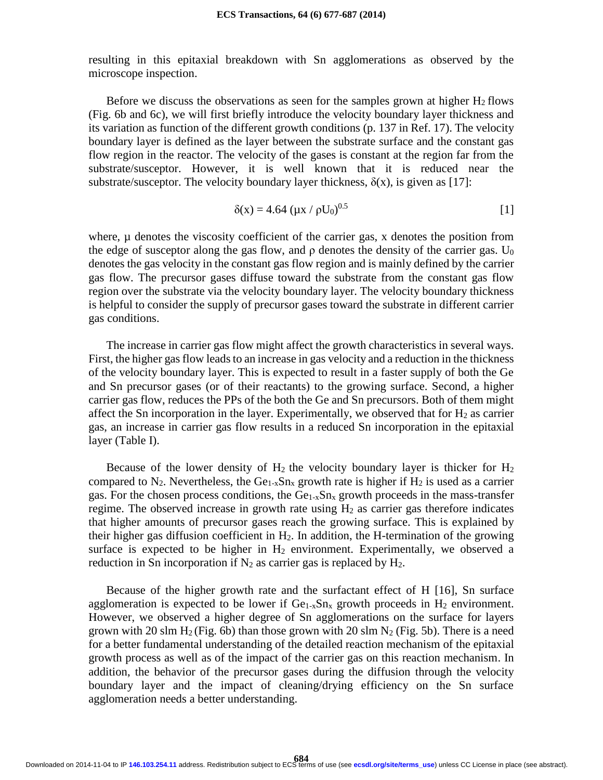resulting in this epitaxial breakdown with Sn agglomerations as observed by the microscope inspection.

Before we discuss the observations as seen for the samples grown at higher  $H_2$  flows (Fig. 6b and 6c), we will first briefly introduce the velocity boundary layer thickness and its variation as function of the different growth conditions (p. 137 in Ref. 17). The velocity boundary layer is defined as the layer between the substrate surface and the constant gas flow region in the reactor. The velocity of the gases is constant at the region far from the substrate/susceptor. However, it is well known that it is reduced near the substrate/susceptor. The velocity boundary layer thickness,  $\delta(x)$ , is given as [17]:

$$
\delta(x) = 4.64 \, (\mu x / \rho U_0)^{0.5} \tag{1}
$$

where,  $\mu$  denotes the viscosity coefficient of the carrier gas, x denotes the position from the edge of susceptor along the gas flow, and  $\rho$  denotes the density of the carrier gas. U<sub>0</sub> denotes the gas velocity in the constant gas flow region and is mainly defined by the carrier gas flow. The precursor gases diffuse toward the substrate from the constant gas flow region over the substrate via the velocity boundary layer. The velocity boundary thickness is helpful to consider the supply of precursor gases toward the substrate in different carrier gas conditions.

The increase in carrier gas flow might affect the growth characteristics in several ways. First, the higher gas flow leads to an increase in gas velocity and a reduction in the thickness of the velocity boundary layer. This is expected to result in a faster supply of both the Ge and Sn precursor gases (or of their reactants) to the growing surface. Second, a higher carrier gas flow, reduces the PPs of the both the Ge and Sn precursors. Both of them might affect the Sn incorporation in the layer. Experimentally, we observed that for  $H_2$  as carrier gas, an increase in carrier gas flow results in a reduced Sn incorporation in the epitaxial layer (Table I).

Because of the lower density of  $H_2$  the velocity boundary layer is thicker for  $H_2$ compared to  $N_2$ . Nevertheless, the Ge<sub>1-x</sub>Sn<sub>x</sub> growth rate is higher if  $H_2$  is used as a carrier gas. For the chosen process conditions, the  $Ge<sub>1-x</sub>Sn<sub>x</sub>$  growth proceeds in the mass-transfer regime. The observed increase in growth rate using  $H_2$  as carrier gas therefore indicates that higher amounts of precursor gases reach the growing surface. This is explained by their higher gas diffusion coefficient in  $H_2$ . In addition, the H-termination of the growing surface is expected to be higher in  $H_2$  environment. Experimentally, we observed a reduction in Sn incorporation if  $N_2$  as carrier gas is replaced by  $H_2$ .

Because of the higher growth rate and the surfactant effect of H [16], Sn surface agglomeration is expected to be lower if  $Ge_{1-x}Sn_x$  growth proceeds in  $H_2$  environment. However, we observed a higher degree of Sn agglomerations on the surface for layers grown with 20 slm  $H_2$  (Fig. 6b) than those grown with 20 slm  $N_2$  (Fig. 5b). There is a need for a better fundamental understanding of the detailed reaction mechanism of the epitaxial growth process as well as of the impact of the carrier gas on this reaction mechanism. In addition, the behavior of the precursor gases during the diffusion through the velocity boundary layer and the impact of cleaning/drying efficiency on the Sn surface agglomeration needs a better understanding.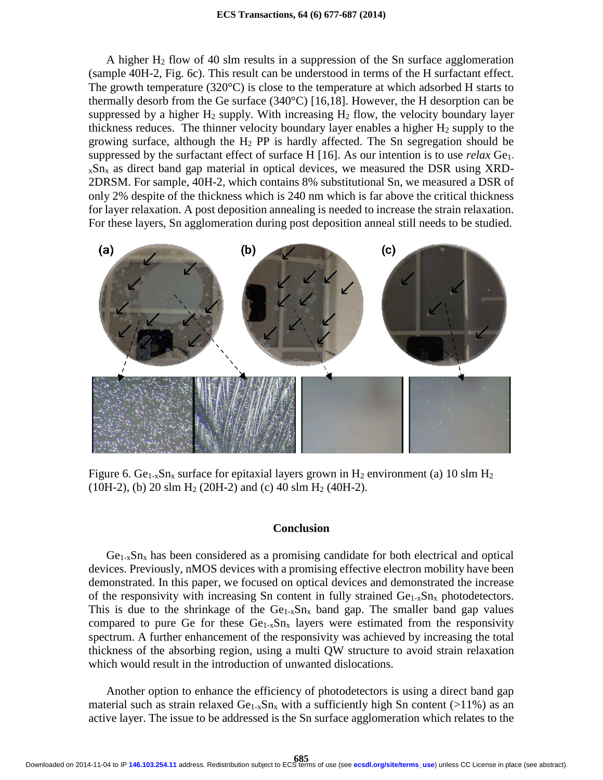A higher H<sup>2</sup> flow of 40 slm results in a suppression of the Sn surface agglomeration (sample 40H-2, Fig. 6c). This result can be understood in terms of the H surfactant effect. The growth temperature  $(320^{\circ}C)$  is close to the temperature at which adsorbed H starts to thermally desorb from the Ge surface (340°C) [16,18]. However, the H desorption can be suppressed by a higher  $H_2$  supply. With increasing  $H_2$  flow, the velocity boundary layer thickness reduces. The thinner velocity boundary layer enables a higher  $H_2$  supply to the growing surface, although the  $H_2$  PP is hardly affected. The Sn segregation should be suppressed by the surfactant effect of surface H [16]. As our intention is to use *relax* Ge1  $x\text{Sn}_x$  as direct band gap material in optical devices, we measured the DSR using XRD-2DRSM. For sample, 40H-2, which contains 8% substitutional Sn, we measured a DSR of only 2% despite of the thickness which is 240 nm which is far above the critical thickness for layer relaxation. A post deposition annealing is needed to increase the strain relaxation. For these layers, Sn agglomeration during post deposition anneal still needs to be studied.



Figure 6. Ge<sub>1-x</sub>Sn<sub>x</sub> surface for epitaxial layers grown in H<sub>2</sub> environment (a) 10 slm H<sub>2</sub> (10H-2), (b) 20 slm H<sub>2</sub> (20H-2) and (c) 40 slm H<sub>2</sub> (40H-2).

## **Conclusion**

 $Ge_{1-x}Sn_x$  has been considered as a promising candidate for both electrical and optical devices. Previously, nMOS devices with a promising effective electron mobility have been demonstrated. In this paper, we focused on optical devices and demonstrated the increase of the responsivity with increasing Sn content in fully strained  $Ge_{1-x}Sn_x$  photodetectors. This is due to the shrinkage of the  $Ge_{1-x}Sn_x$  band gap. The smaller band gap values compared to pure Ge for these  $Ge_{1-x}Sn_x$  layers were estimated from the responsivity spectrum. A further enhancement of the responsivity was achieved by increasing the total thickness of the absorbing region, using a multi QW structure to avoid strain relaxation which would result in the introduction of unwanted dislocations.

Another option to enhance the efficiency of photodetectors is using a direct band gap material such as strain relaxed  $Ge_{1-x}Sn_x$  with a sufficiently high Sn content (>11%) as an active layer. The issue to be addressed is the Sn surface agglomeration which relates to the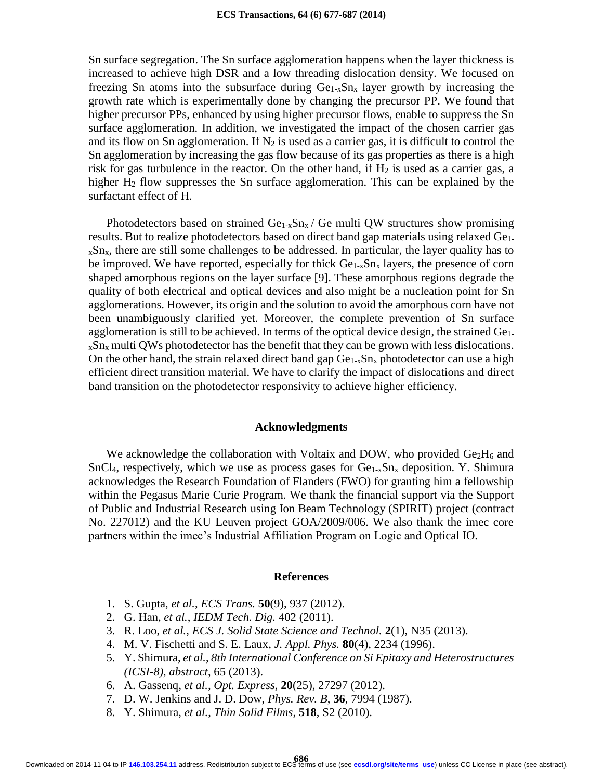Sn surface segregation. The Sn surface agglomeration happens when the layer thickness is increased to achieve high DSR and a low threading dislocation density. We focused on freezing Sn atoms into the subsurface during  $Ge<sub>1-x</sub>Sn<sub>x</sub>$  layer growth by increasing the growth rate which is experimentally done by changing the precursor PP. We found that higher precursor PPs, enhanced by using higher precursor flows, enable to suppress the Sn surface agglomeration. In addition, we investigated the impact of the chosen carrier gas and its flow on Sn agglomeration. If  $N_2$  is used as a carrier gas, it is difficult to control the Sn agglomeration by increasing the gas flow because of its gas properties as there is a high risk for gas turbulence in the reactor. On the other hand, if  $H_2$  is used as a carrier gas, a higher H<sub>2</sub> flow suppresses the Sn surface agglomeration. This can be explained by the surfactant effect of H.

Photodetectors based on strained  $Ge_{1-x}Sn_x / Ge$  multi QW structures show promising results. But to realize photodetectors based on direct band gap materials using relaxed Ge1  $x\text{Sn}_x$ , there are still some challenges to be addressed. In particular, the layer quality has to be improved. We have reported, especially for thick  $Ge<sub>1-x</sub>Sn<sub>x</sub>$  layers, the presence of corn shaped amorphous regions on the layer surface [9]. These amorphous regions degrade the quality of both electrical and optical devices and also might be a nucleation point for Sn agglomerations. However, its origin and the solution to avoid the amorphous corn have not been unambiguously clarified yet. Moreover, the complete prevention of Sn surface agglomeration is still to be achieved. In terms of the optical device design, the strained Ge1  $xSn<sub>x</sub>$  multi QWs photodetector has the benefit that they can be grown with less dislocations. On the other hand, the strain relaxed direct band gap  $Ge_{1-x}Sn_x$  photodetector can use a high efficient direct transition material. We have to clarify the impact of dislocations and direct band transition on the photodetector responsivity to achieve higher efficiency.

## **Acknowledgments**

We acknowledge the collaboration with Voltaix and DOW, who provided  $Ge_2H_6$  and SnCl<sub>4</sub>, respectively, which we use as process gases for  $Ge<sub>1-x</sub>Sn<sub>x</sub>$  deposition. Y. Shimura acknowledges the Research Foundation of Flanders (FWO) for granting him a fellowship within the Pegasus Marie Curie Program. We thank the financial support via the Support of Public and Industrial Research using Ion Beam Technology (SPIRIT) project (contract No. 227012) and the KU Leuven project GOA/2009/006. We also thank the imec core partners within the imec's Industrial Affiliation Program on Logic and Optical IO.

#### **References**

- 1. S. Gupta, *et al.*, *ECS Trans.* **50**(9), 937 (2012).
- 2. G. Han, *et al.*, *IEDM Tech. Dig.* 402 (2011).
- 3. R. Loo, *et al.*, *ECS J. Solid State Science and Technol.* **2**(1), N35 (2013).
- 4. M. V. Fischetti and S. E. Laux, *J. Appl. Phys.* **80**(4), 2234 (1996).
- 5. Y. Shimura, *et al.*, *8th International Conference on Si Epitaxy and Heterostructures (ICSI-8), abstract*, 65 (2013).
- 6. A. Gassenq, *et al.*, *Opt. Express*, **20**(25), 27297 (2012).
- 7. D. W. Jenkins and J. D. Dow, *Phys. Rev. B*, **36**, 7994 (1987).
- 8. Y. Shimura, *et al.*, *Thin Solid Films*, **518**, S2 (2010).